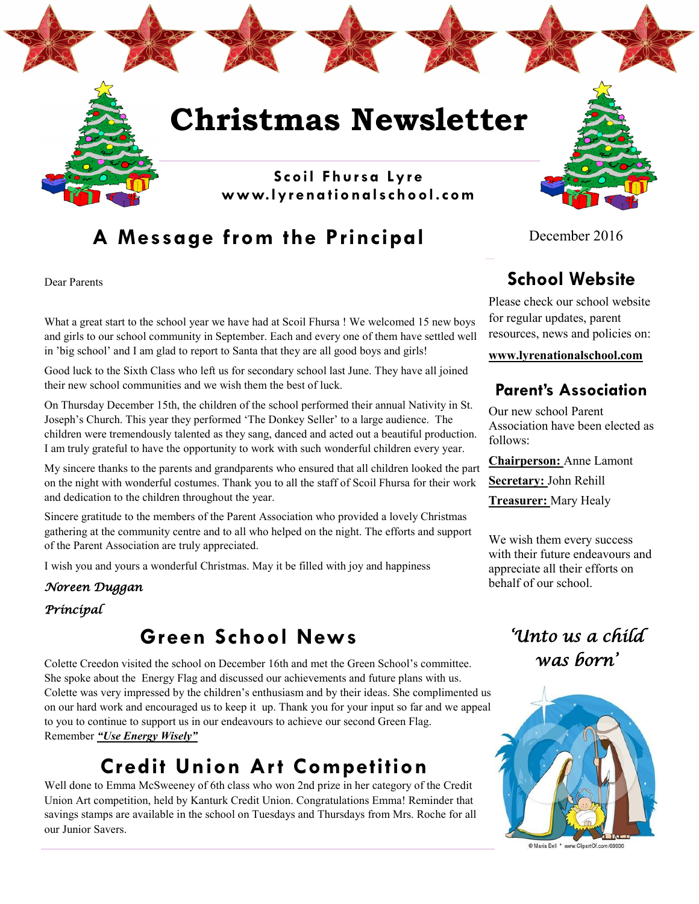

# **A Message from the Principal**

Dear Parents

What a great start to the school year we have had at Scoil Fhursa ! We welcomed 15 new boys and girls to our school community in September. Each and every one of them have settled well in 'big school' and I am glad to report to Santa that they are all good boys and girls!

Good luck to the Sixth Class who left us for secondary school last June. They have all joined their new school communities and we wish them the best of luck.

On Thursday December 15th, the children of the school performed their annual Nativity in St. Joseph's Church. This year they performed 'The Donkey Seller' to a large audience. The children were tremendously talented as they sang, danced and acted out a beautiful production. I am truly grateful to have the opportunity to work with such wonderful children every year.

My sincere thanks to the parents and grandparents who ensured that all children looked the part on the night with wonderful costumes. Thank you to all the staff of Scoil Fhursa for their work and dedication to the children throughout the year.

Sincere gratitude to the members of the Parent Association who provided a lovely Christmas gathering at the community centre and to all who helped on the night. The efforts and support of the Parent Association are truly appreciated.

I wish you and yours a wonderful Christmas. May it be filled with joy and happiness

### *Noreen Duggan*

### *Principal*

## **Green School News**

Colette Creedon visited the school on December 16th and met the Green School's committee. She spoke about the Energy Flag and discussed our achievements and future plans with us. Colette was very impressed by the children's enthusiasm and by their ideas. She complimented us on our hard work and encouraged us to keep it up. Thank you for your input so far and we appeal to you to continue to support us in our endeavours to achieve our second Green Flag. Remember *"Use Energy Wisely"*

# **Credit Union Art Competition**

Well done to Emma McSweeney of 6th class who won 2nd prize in her category of the Credit Union Art competition, held by Kanturk Credit Union. Congratulations Emma! Reminder that savings stamps are available in the school on Tuesdays and Thursdays from Mrs. Roche for all our Junior Savers.

December 2016

# **School Website**

Please check our school website for regular updates, parent resources, news and policies on:

**www.lyrenationalschool.com**

### **Parent's Association**

Our new school Parent Association have been elected as follows:

**Chairperson:** Anne Lamont **Secretary:** John Rehill **Treasurer:** Mary Healy

We wish them every success with their future endeavours and appreciate all their efforts on behalf of our school.

# *'Unto us a child was born'*



© Maria Bell \* www.ClipartOf.com/69930